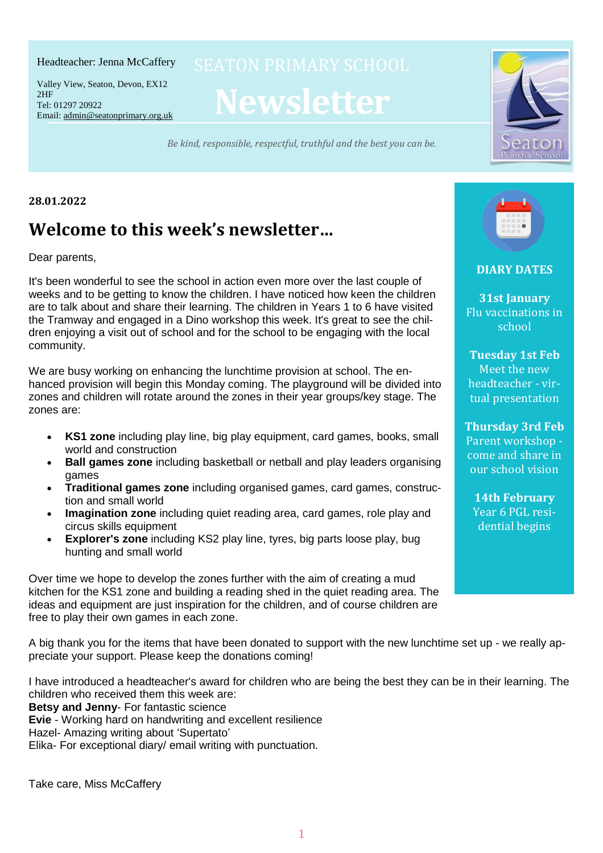#### Headteacher: Jenna McCaffery

Tel: 01297 20922 Email: <u>[admin@seatonprimary.org.uk](mailto:admin@seatonprimary.org.uk)</u> Valley View, Seaton, Devon, EX12 2HF

**Newsletter**

*Be kind, responsible, respectful, truthful and the best you can be.* Email: [admin@seatonprimary.org.uk](mailto:admin@seatonprimary.org.uk)



#### **28.01.2022**

# **Welcome to this week's newsletter…**

Dear parents,

It's been wonderful to see the school in action even more over the last couple of weeks and to be getting to know the children. I have noticed how keen the children are to talk about and share their learning. The children in Years 1 to 6 have visited the Tramway and engaged in a Dino workshop this week. It's great to see the children enjoying a visit out of school and for the school to be engaging with the local community.

We are busy working on enhancing the lunchtime provision at school. The enhanced provision will begin this Monday coming. The playground will be divided into zones and children will rotate around the zones in their year groups/key stage. The zones are:

- **KS1 zone** including play line, big play equipment, card games, books, small world and construction
- **Ball games zone** including basketball or netball and play leaders organising games
- **Traditional games zone** including organised games, card games, construction and small world
- **Imagination zone** including quiet reading area, card games, role play and circus skills equipment
- **Explorer's zone** including KS2 play line, tyres, big parts loose play, bug hunting and small world

Over time we hope to develop the zones further with the aim of creating a mud kitchen for the KS1 zone and building a reading shed in the quiet reading area. The ideas and equipment are just inspiration for the children, and of course children are free to play their own games in each zone.

A big thank you for the items that have been donated to support with the new lunchtime set up - we really appreciate your support. Please keep the donations coming!

I have introduced a headteacher's award for children who are being the best they can be in their learning. The children who received them this week are:

**Betsy and Jenny**- For fantastic science

**Evie** - Working hard on handwriting and excellent resilience

Hazel- Amazing writing about 'Supertato'

Elika- For exceptional diary/ email writing with punctuation.

Take care, Miss McCaffery



**DIARY DATES**

**31st January** Flu vaccinations in school

**Tuesday 1st Feb** Meet the new headteacher - virtual presentation

**Thursday 3rd Feb** Parent workshop come and share in our school vision

**14th February** Year 6 PGL residential begins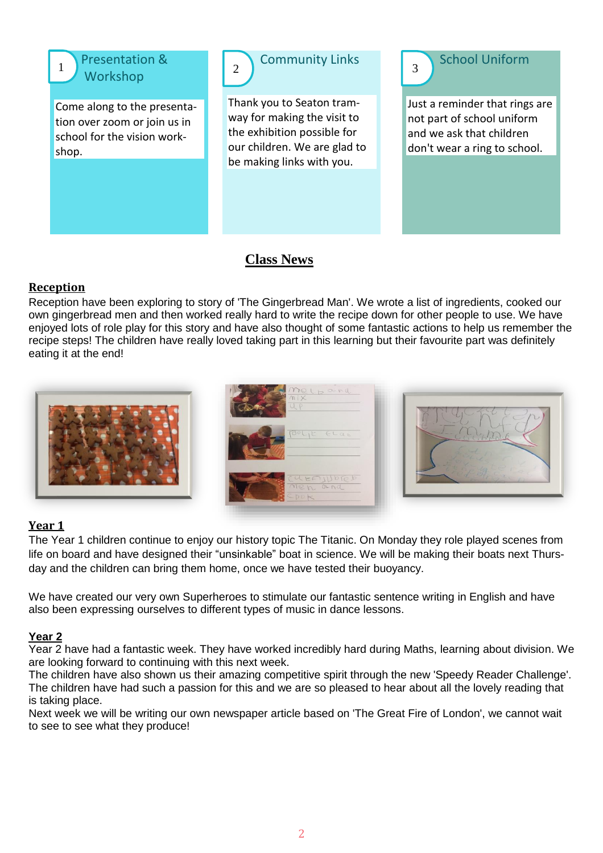

1 Presentation & Workshop

Come along to the presentation over zoom or join us in school for the vision workshop.



Thank you to Seaton tramway for making the visit to the exhibition possible for our children. We are glad to be making links with you.

3 School Uniform

Just a reminder that rings are not part of school uniform and we ask that children don't wear a ring to school.

## **Class News**

### **Reception**

Reception have been exploring to story of 'The Gingerbread Man'. We wrote a list of ingredients, cooked our own gingerbread men and then worked really hard to write the recipe down for other people to use. We have enjoyed lots of role play for this story and have also thought of some fantastic actions to help us remember the recipe steps! The children have really loved taking part in this learning but their favourite part was definitely eating it at the end!



#### **Year 1**

The Year 1 children continue to enjoy our history topic The Titanic. On Monday they role played scenes from life on board and have designed their "unsinkable" boat in science. We will be making their boats next Thursday and the children can bring them home, once we have tested their buoyancy.

We have created our very own Superheroes to stimulate our fantastic sentence writing in English and have also been expressing ourselves to different types of music in dance lessons.

#### **Year 2**

Year 2 have had a fantastic week. They have worked incredibly hard during Maths, learning about division. We are looking forward to continuing with this next week.

The children have also shown us their amazing competitive spirit through the new 'Speedy Reader Challenge'. The children have had such a passion for this and we are so pleased to hear about all the lovely reading that is taking place.

Next week we will be writing our own newspaper article based on 'The Great Fire of London', we cannot wait to see to see what they produce!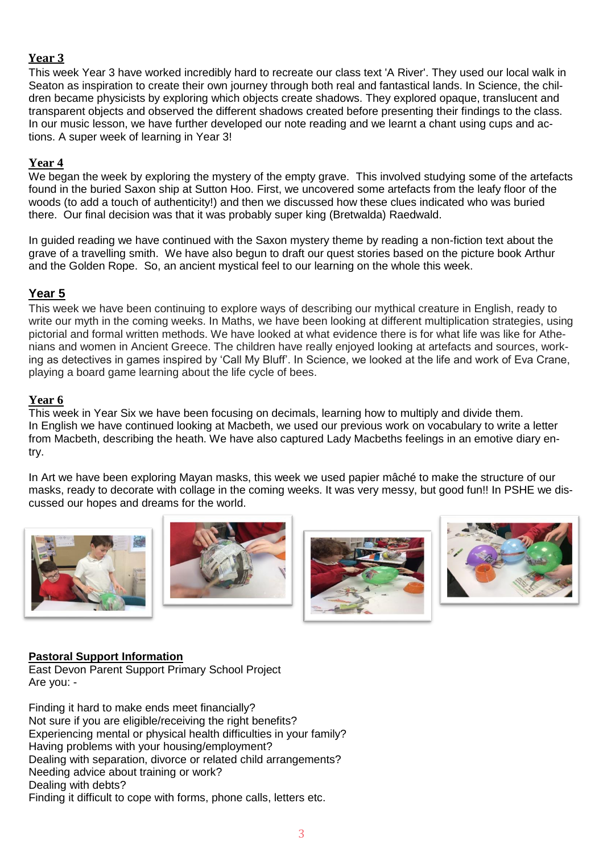#### **Year 3**

This week Year 3 have worked incredibly hard to recreate our class text 'A River'. They used our local walk in Seaton as inspiration to create their own journey through both real and fantastical lands. In Science, the children became physicists by exploring which objects create shadows. They explored opaque, translucent and transparent objects and observed the different shadows created before presenting their findings to the class. In our music lesson, we have further developed our note reading and we learnt a chant using cups and actions. A super week of learning in Year 3!

#### **Year 4**

We began the week by exploring the mystery of the empty grave. This involved studying some of the artefacts found in the buried Saxon ship at Sutton Hoo. First, we uncovered some artefacts from the leafy floor of the woods (to add a touch of authenticity!) and then we discussed how these clues indicated who was buried there. Our final decision was that it was probably super king (Bretwalda) Raedwald.

In guided reading we have continued with the Saxon mystery theme by reading a non-fiction text about the grave of a travelling smith. We have also begun to draft our quest stories based on the picture book Arthur and the Golden Rope. So, an ancient mystical feel to our learning on the whole this week.

#### **Year 5**

This week we have been continuing to explore ways of describing our mythical creature in English, ready to write our myth in the coming weeks. In Maths, we have been looking at different multiplication strategies, using pictorial and formal written methods. We have looked at what evidence there is for what life was like for Athenians and women in Ancient Greece. The children have really enjoyed looking at artefacts and sources, working as detectives in games inspired by 'Call My Bluff'. In Science, we looked at the life and work of Eva Crane, playing a board game learning about the life cycle of bees.

#### **Year 6**

This week in Year Six we have been focusing on decimals, learning how to multiply and divide them. In English we have continued looking at Macbeth, we used our previous work on vocabulary to write a letter from Macbeth, describing the heath. We have also captured Lady Macbeths feelings in an emotive diary entry.

In Art we have been exploring Mayan masks, this week we used papier mâché to make the structure of our masks, ready to decorate with collage in the coming weeks. It was very messy, but good fun!! In PSHE we discussed our hopes and dreams for the world.









#### **Pastoral Support Information**

East Devon Parent Support Primary School Project Are you: -

Finding it hard to make ends meet financially? Not sure if you are eligible/receiving the right benefits? Experiencing mental or physical health difficulties in your family? Having problems with your housing/employment? Dealing with separation, divorce or related child arrangements? Needing advice about training or work? Dealing with debts? Finding it difficult to cope with forms, phone calls, letters etc.